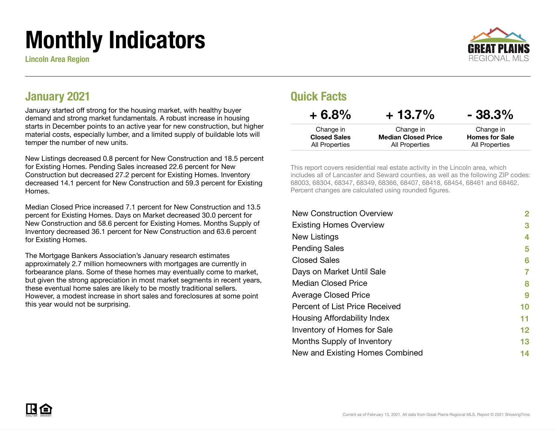# Monthly Indicators

Lincoln Area Region



#### January 2021

January started off strong for the housing market, with healthy buyer demand and strong market fundamentals. A robust increase in housing starts in December points to an active year for new construction, but higher material costs, especially lumber, and a limited supply of buildable lots will temper the number of new units.

New Listings decreased 0.8 percent for New Construction and 18.5 percent for Existing Homes. Pending Sales increased 22.6 percent for New Construction but decreased 27.2 percent for Existing Homes. Inventory decreased 14.1 percent for New Construction and 59.3 percent for Existing Homes.

Median Closed Price increased 7.1 percent for New Construction and 13.5 percent for Existing Homes. Days on Market decreased 30.0 percent for New Construction and 58.6 percent for Existing Homes. Months Supply of Inventory decreased 36.1 percent for New Construction and 63.6 percent for Existing Homes.

The Mortgage Bankers Association's January research estimates approximately 2.7 million homeowners with mortgages are currently in forbearance plans. Some of these homes may eventually come to market, but given the strong appreciation in most market segments in recent years, these eventual home sales are likely to be mostly traditional sellers. However, a modest increase in short sales and foreclosures at some point this year would not be surprising.

#### Quick Facts

| $+6.8%$             | $+13.7%$                   | $-38.3%$              |
|---------------------|----------------------------|-----------------------|
| Change in           | Change in                  | Change in             |
| <b>Closed Sales</b> | <b>Median Closed Price</b> | <b>Homes for Sale</b> |
| All Properties      | All Properties             | All Properties        |

This report covers residential real estate activity in the Lincoln area, which includes all of Lancaster and Seward counties, as well as the following ZIP codes: 68003, 68304, 68347, 68349, 68366, 68407, 68418, 68454, 68461 and 68462. Percent changes are calculated using rounded figures.

| 2                 |
|-------------------|
| 3                 |
| 4                 |
| 5                 |
| 6                 |
| 7                 |
| 8                 |
| 9                 |
| 10                |
| 11                |
| $12 \ \mathsf{ }$ |
| 13                |
| 14                |
|                   |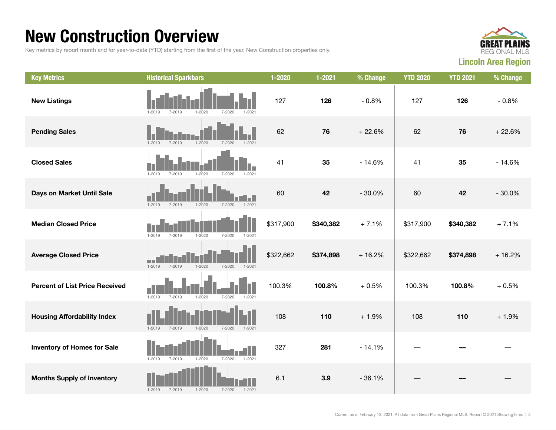### New Construction Overview

Key metrics by report month and for year-to-date (YTD) starting from the first of the year. New Construction properties only.



| <b>Key Metrics</b>                    | <b>Historical Sparkbars</b>                                        | 1-2020    | $1 - 2021$ | % Change | <b>YTD 2020</b> | <b>YTD 2021</b> | % Change |
|---------------------------------------|--------------------------------------------------------------------|-----------|------------|----------|-----------------|-----------------|----------|
| <b>New Listings</b>                   | $1 - 2020$<br>$1 - 2019$<br>7-2019<br>$7 - 2020$<br>1-2021         | 127       | 126        | $-0.8%$  | 127             | 126             | $-0.8%$  |
| <b>Pending Sales</b>                  | $1 - 2019$<br>$7 - 2019$<br>$1 - 2020$<br>$7 - 2020$<br>$1 - 2021$ | 62        | 76         | $+22.6%$ | 62              | 76              | $+22.6%$ |
| <b>Closed Sales</b>                   | $1 - 2020$<br>$1 - 2019$<br>$7 - 2019$<br>$7 - 2020$<br>$1 - 2021$ | 41        | 35         | $-14.6%$ | 41              | 35              | $-14.6%$ |
| Days on Market Until Sale             | $1 - 2019$<br>$1 - 2021$<br>$7 - 2019$<br>$1 - 2020$<br>$7 - 2020$ | 60        | 42         | $-30.0%$ | 60              | 42              | $-30.0%$ |
| <b>Median Closed Price</b>            | $1 - 2019$<br>$7 - 2019$<br>$1 - 2020$<br>$7 - 2020$<br>$1 - 2021$ | \$317,900 | \$340,382  | $+7.1%$  | \$317,900       | \$340,382       | $+7.1%$  |
| <b>Average Closed Price</b>           | $1 - 2019$<br>$7 - 2019$<br>$1 - 2020$<br>$1 - 2021$<br>7-2020     | \$322,662 | \$374,898  | $+16.2%$ | \$322,662       | \$374,898       | $+16.2%$ |
| <b>Percent of List Price Received</b> | $1 - 2019$<br>$7 - 2019$<br>$1 - 2020$<br>$7 - 2020$<br>$1 - 2021$ | 100.3%    | 100.8%     | $+0.5%$  | 100.3%          | 100.8%          | $+0.5%$  |
| <b>Housing Affordability Index</b>    | $1 - 2019$<br>$7 - 2019$<br>$1 - 2020$<br>$7 - 2020$<br>$1 - 2021$ | 108       | 110        | $+1.9%$  | 108             | 110             | $+1.9%$  |
| <b>Inventory of Homes for Sale</b>    | $7 - 2019$<br>$1 - 2020$<br>$1 - 2019$<br>$7 - 2020$<br>$1 - 2021$ | 327       | 281        | $-14.1%$ |                 |                 |          |
| <b>Months Supply of Inventory</b>     | $1 - 2019$<br>$7 - 2019$<br>$1 - 2020$<br>$7 - 2020$<br>$1 - 2021$ | 6.1       | 3.9        | $-36.1%$ |                 |                 |          |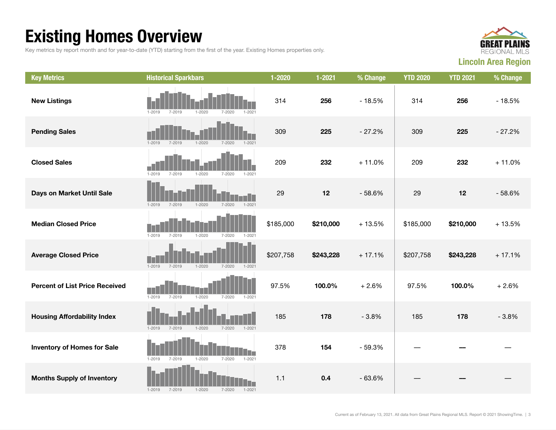## Existing Homes Overview

Key metrics by report month and for year-to-date (YTD) starting from the first of the year. Existing Homes properties only.



| <b>Key Metrics</b>                    | <b>Historical Sparkbars</b>                                              | 1-2020    | $1 - 2021$ | % Change | <b>YTD 2020</b> | <b>YTD 2021</b> | % Change |
|---------------------------------------|--------------------------------------------------------------------------|-----------|------------|----------|-----------------|-----------------|----------|
| <b>New Listings</b>                   | $1 - 2019$<br>$7 - 2019$<br>$1 - 2020$<br>$7 - 2020$<br>$1 - 2021$       | 314       | 256        | $-18.5%$ | 314             | 256             | $-18.5%$ |
| <b>Pending Sales</b>                  | $1 - 2020$<br>$1 - 2021$<br>$1 - 2019$<br>$7 - 2019$<br>$7 - 2020$       | 309       | 225        | $-27.2%$ | 309             | 225             | $-27.2%$ |
| <b>Closed Sales</b>                   | $1 - 2019$<br>$7 - 2019$<br>$1 - 2020$<br>$7 - 2020$<br>$1 - 2021$       | 209       | 232        | $+11.0%$ | 209             | 232             | $+11.0%$ |
| Days on Market Until Sale             | $1 - 2021$<br>$1 - 2019$<br>$7 - 2019$<br>$1 - 2020$<br>$7 - 2020$       | 29        | 12         | $-58.6%$ | 29              | 12              | $-58.6%$ |
| <b>Median Closed Price</b>            | $1 - 2019$<br>$7 - 2019$<br>$1 - 2020$<br>$7 - 2020$<br>$1 - 2021$       | \$185,000 | \$210,000  | $+13.5%$ | \$185,000       | \$210,000       | $+13.5%$ |
| <b>Average Closed Price</b>           | $1 - 2019$<br>$1 - 2020$<br>7-2019<br>7-2020<br>$1 - 2021$               | \$207,758 | \$243,228  | $+17.1%$ | \$207,758       | \$243,228       | $+17.1%$ |
| <b>Percent of List Price Received</b> | $7 - 2019$<br>$1 - 2020$<br>$1 - 2019$<br>$7 - 2020$<br>$1 - 2021$       | 97.5%     | 100.0%     | $+2.6%$  | 97.5%           | 100.0%          | $+2.6%$  |
| <b>Housing Affordability Index</b>    | $1 - 2021$<br>$1 - 2019$<br>$7 - 2019$<br>$1 - 2020$<br>7-2020           | 185       | 178        | $-3.8%$  | 185             | 178             | $-3.8%$  |
| <b>Inventory of Homes for Sale</b>    | LF<br>$1 - 2019$<br>$7 - 2019$<br>$1 - 2020$<br>$7 - 2020$<br>$1 - 2021$ | 378       | 154        | $-59.3%$ |                 |                 |          |
| <b>Months Supply of Inventory</b>     | $1 - 2020$<br>$7 - 2020$<br>$1 - 2019$<br>7-2019<br>$1 - 2021$           | 1.1       | 0.4        | $-63.6%$ |                 |                 |          |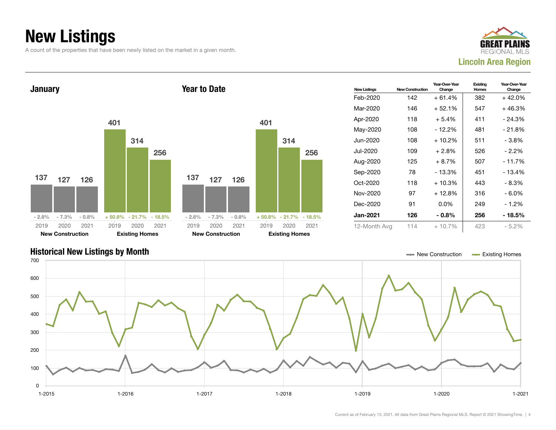## New Listings

A count of the properties that have been newly listed on the market in a given month.





#### Historical New Listings by Month New Construction According Homes Construction According Homes Existing Homes

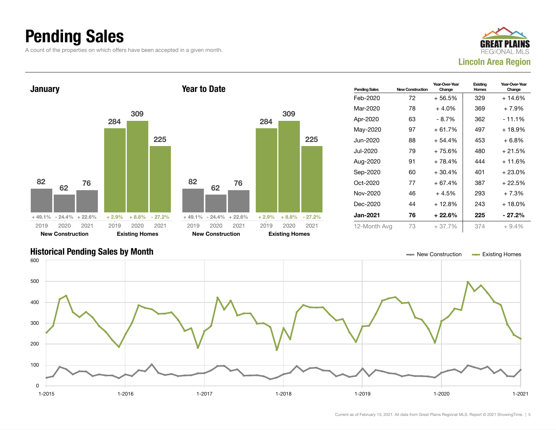## Pending Sales

A count of the properties on which offers have been accepted in a given month.





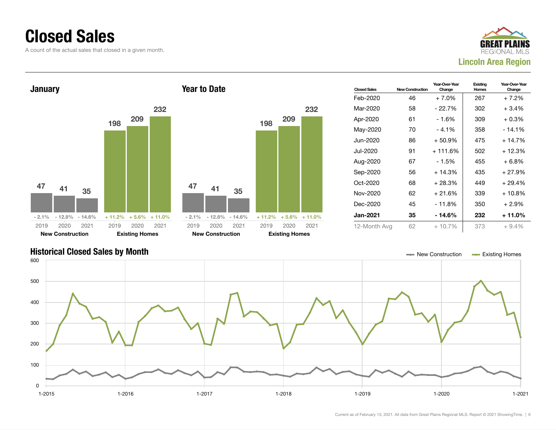#### Closed Sales

A count of the actual sales that closed in a given month.





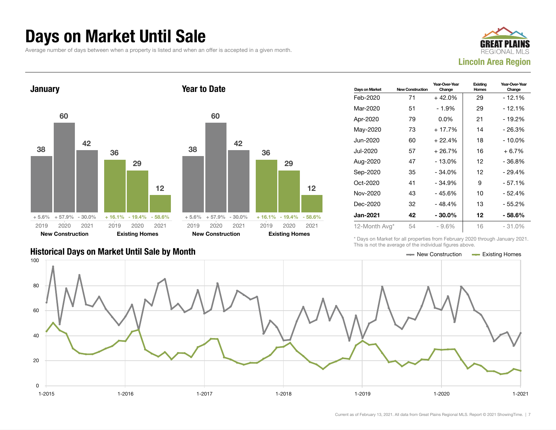#### Days on Market Until Sale

Average number of days between when a property is listed and when an offer is accepted in a given month.





|                                               | THIS IS HOT LITU QVULQUU UI LITU IHQIVIQQLI HYQITUS QDUVU. |  |
|-----------------------------------------------|------------------------------------------------------------|--|
| Historical Days on Market Until Sale by Month | $\equiv$ New Construction $\equiv$ Existing Homes          |  |

| Days on Market  | <b>New Construction</b> | Year-Over-Year<br>Change | Existing<br>Homes | Year-Over-Year<br>Change |
|-----------------|-------------------------|--------------------------|-------------------|--------------------------|
| Feb-2020        | 71                      | $+42.0%$                 | 29                | - 12.1%                  |
| Mar-2020        | 51                      | $-1.9%$                  | 29                | - 12.1%                  |
| Apr-2020        | 79                      | $0.0\%$                  | 21                | $-19.2%$                 |
| May-2020        | 73                      | $+17.7%$                 | 14                | $-26.3%$                 |
| Jun-2020        | 60                      | $+22.4%$                 | 18                | - 10.0%                  |
| Jul-2020        | 57                      | $+26.7%$                 | 16                | $+6.7\%$                 |
| Aug-2020        | 47                      | $-13.0%$                 | 12                | $-36.8%$                 |
| Sep-2020        | 35                      | $-34.0%$                 | 12                | - 29.4%                  |
| Oct-2020        | 41                      | $-34.9%$                 | 9                 | $-57.1%$                 |
| Nov-2020        | 43                      | $-45.6%$                 | 10                | - 52.4%                  |
| Dec-2020        | 32                      | - 48.4%                  | 13                | - 55.2%                  |
| <b>Jan-2021</b> | 42                      | $-30.0\%$                | 12                | - 58.6%                  |
| 12-Month Avg*   | 54                      | $-9.6%$                  | 16                | $-31.0%$                 |

\* Days on Market for all properties from February 2020 through January 2021. This is not the average of the individual figures above.

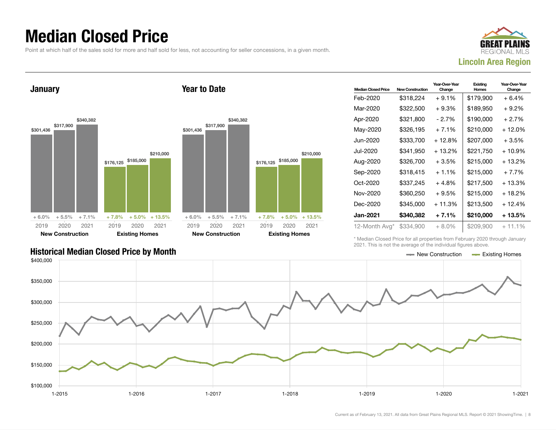### Median Closed Price

Point at which half of the sales sold for more and half sold for less, not accounting for seller concessions, in a given month.

Year to Date



January



|       |           | <b>New Construction</b> |           |           | <b>Existing Homes</b> |           |  |
|-------|-----------|-------------------------|-----------|-----------|-----------------------|-----------|--|
| 021   | 2019      | 2020                    | 2021      | 2019      | 2020                  | 2021      |  |
| 3.5%  | $+6.0%$   | $+5.5%$                 | $+7.1%$   | $+7.8%$   | $+5.0%$               | $+13.5%$  |  |
| 0,000 | \$301,436 | \$317,900               | \$340,382 | \$176,125 | \$185,000             | \$210,000 |  |

| <b>Median Closed Price</b> | <b>New Construction</b> | Year-Over-Year<br>Change | Existing<br>Homes | Year-Over-Year<br>Change |
|----------------------------|-------------------------|--------------------------|-------------------|--------------------------|
| Feb-2020                   | \$318,224               | $+9.1%$                  | \$179,900         | + 6.4%                   |
| Mar-2020                   | \$322,500               | $+9.3%$                  | \$189,950         | + 9.2%                   |
| Apr-2020                   | \$321,800               | - 2.7%                   | \$190,000         | $+2.7%$                  |
| May-2020                   | \$326,195               | $+7.1%$                  | \$210,000         | $+12.0%$                 |
| Jun-2020.                  | \$333,700               | + 12.8%                  | \$207,000         | + 3.5%                   |
| Jul-2020                   | \$341.950               | $+13.2%$                 | \$221.750         | + 10.9%                  |
| Aug-2020                   | \$326,700               | $+3.5%$                  | \$215,000         | + 13.2%                  |
| Sep-2020                   | \$318,415               | $+1.1%$                  | \$215,000         | $+7.7%$                  |
| Oct-2020                   | \$337,245               | $+4.8%$                  | \$217,500         | + 13.3%                  |
| Nov-2020                   | \$360,250               | $+9.5%$                  | \$215,000         | $+18.2%$                 |
| Dec-2020                   | \$345,000               | $+11.3%$                 | \$213,500         | $+12.4%$                 |
| <b>Jan-2021</b>            | \$340,382               | $+7.1%$                  | \$210,000         | + 13.5%                  |
| 12-Month Avg*              | \$334,900               | $+8.0\%$                 | \$209,900         | $+11.1%$                 |

\* Median Closed Price for all properties from February 2020 through January 2021. This is not the average of the individual figures above.



#### Historical Median Closed Price by Month **New Construction According Closed Price by Month** New Construction According Homes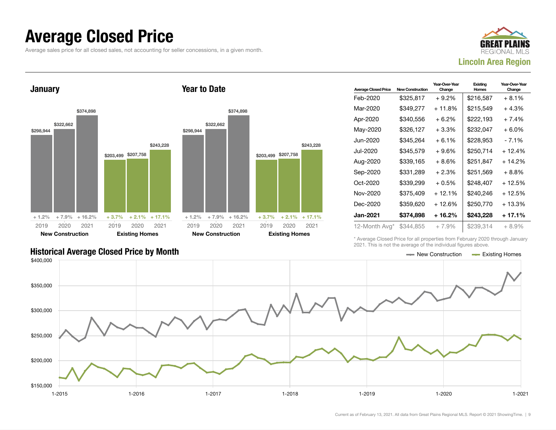#### Average Closed Price

Average sales price for all closed sales, not accounting for seller concessions, in a given month.



**January** \$298,944 \$322,662 \$374,898 + 1.2% + 7.9% + 16.2% \$203,499 \$207,758 \$243,228  $+3.7\%$   $+2.1\%$   $+17.1\%$ 2019 New Construction 2020 2021 2019 Existing Homes 2020 2021 Year to Date \$298,944 \$322,662 \$374,898 + 1.2% + 7.9% + 16.2% \$203,499 \$207,758 \$243,228  $+3.7\%$   $+2.1\%$   $+17.1\%$ 2019 New Construction 2020 2021 2019 Existing Homes 2020 2021

| <b>Average Closed Price</b> | <b>New Construction</b> | Year-Over-Year<br>Change | Existing<br>Homes | Year-Over-Year<br>Change |
|-----------------------------|-------------------------|--------------------------|-------------------|--------------------------|
| Feb-2020                    | \$325,817               | + 9.2%                   | \$216,587         | + 8.1%                   |
| Mar-2020                    | \$349,277               | $+11.8%$                 | \$215,549         | $+4.3%$                  |
| Apr-2020                    | \$340,556               | $+6.2\%$                 | \$222,193         | + 7.4%                   |
| May-2020                    | \$326,127               | $+3.3\%$                 | \$232,047         | + 6.0%                   |
| Jun-2020                    | \$345,264               | $+6.1%$                  | \$228,953         | - 7.1%                   |
| Jul-2020                    | \$345,579               | $+9.6%$                  | \$250,714         | + 12.4%                  |
| Aug-2020                    | \$339,165               | $+8.6%$                  | \$251,847         | $+14.2%$                 |
| Sep-2020                    | \$331,289               | $+2.3%$                  | \$251,569         | + 8.8%                   |
| Oct-2020                    | \$339,299               | $+0.5%$                  | \$248,407         | + 12.5%                  |
| Nov-2020                    | \$375.409               | $+12.1%$                 | \$240,246         | $+12.5%$                 |
| Dec-2020                    | \$359,620               | $+12.6%$                 | \$250,770         | $+13.3%$                 |
| Jan-2021                    | \$374,898               | + 16.2%                  | \$243,228         | + 17.1%                  |
| 12-Month Avg*               | \$344,855               | $+7.9%$                  | \$239,314         | $+8.9\%$                 |

Historical Average Closed Price by Month **New Construction Average Closed Price by Month** New Construction Average Closed Price by Month

\* Average Closed Price for all properties from February 2020 through January 2021. This is not the average of the individual figures above.

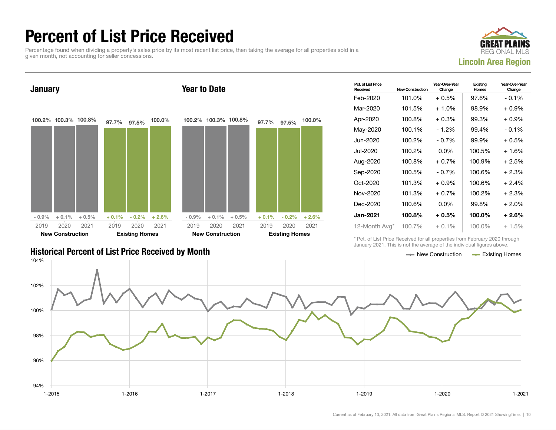## Percent of List Price Received

Percentage found when dividing a property's sales price by its most recent list price, then taking the average for all properties sold in a given month, not accounting for seller concessions.





| <b>Historical Percent of List Price Received by Month</b> | — New Construction | <b>Existing Homes</b> |
|-----------------------------------------------------------|--------------------|-----------------------|

| Pct. of List Price<br>Received | <b>New Construction</b> | Year-Over-Year<br>Change | Existing<br><b>Homes</b> | Year-Over-Year<br>Change |
|--------------------------------|-------------------------|--------------------------|--------------------------|--------------------------|
| Feb-2020                       | 101.0%                  | $+0.5\%$                 | 97.6%                    | $-0.1%$                  |
| Mar-2020                       | 101.5%                  | $+1.0%$                  | 98.9%                    | $+0.9\%$                 |
| Apr-2020                       | 100.8%                  | $+0.3%$                  | 99.3%                    | $+0.9%$                  |
| May-2020                       | 100.1%                  | $-1.2%$                  | 99.4%                    | $-0.1\%$                 |
| Jun-2020                       | 100.2%                  | $-0.7%$                  | 99.9%                    | $+0.5%$                  |
| Jul-2020                       | 100.2%                  | $0.0\%$                  | 100.5%                   | $+1.6%$                  |
| Aug-2020                       | 100.8%                  | $+0.7%$                  | 100.9%                   | $+2.5%$                  |
| Sep-2020                       | 100.5%                  | - 0.7%                   | 100.6%                   | $+2.3%$                  |
| $Oct-2020$                     | 101.3%                  | $+0.9%$                  | 100.6%                   | $+2.4%$                  |
| Nov-2020                       | 101.3%                  | $+0.7%$                  | 100.2%                   | $+2.3%$                  |
| Dec-2020                       | 100.6%                  | $0.0\%$                  | 99.8%                    | $+2.0%$                  |
| <b>Jan-2021</b>                | 100.8%                  | $+0.5\%$                 | 100.0%                   | + 2.6%                   |
| 12-Month Avg*                  | 100.7%                  | $+0.1\%$                 | 100.0%                   | $+1.5%$                  |

\* Pct. of List Price Received for all properties from February 2020 through January 2021. This is not the average of the individual figures above.

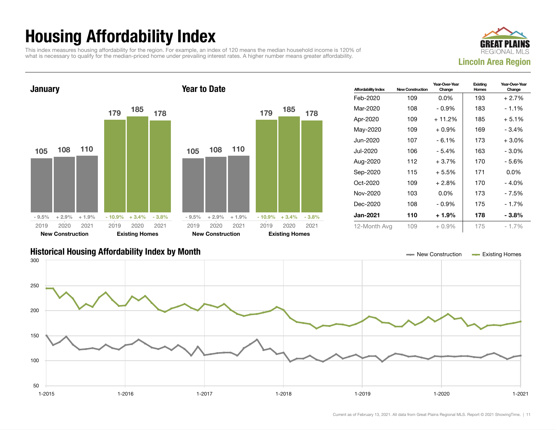## Housing Affordability Index

This index measures housing affordability for the region. For example, an index of 120 means the median household income is 120% of what is necessary to qualify for the median-priced home under prevailing interest rates. A higher number means greater affordability.





| <b>Affordability Index</b> | <b>New Construction</b> | Year-Over-Year<br>Change | Existing<br>Homes | Year-Over-Year<br>Change |
|----------------------------|-------------------------|--------------------------|-------------------|--------------------------|
| Feb-2020                   | 109                     | $0.0\%$                  | 193               | $+2.7%$                  |
| Mar-2020                   | 108                     | $-0.9%$                  | 183               | $-1.1\%$                 |
| Apr-2020                   | 109                     | $+11.2%$                 | 185               | $+5.1%$                  |
| May-2020                   | 109                     | $+0.9\%$                 | 169               | $-3.4%$                  |
| Jun-2020                   | 107                     | $-6.1%$                  | 173               | $+3.0%$                  |
| Jul-2020                   | 106                     | - 5.4%                   | 163               | $-3.0%$                  |
| Aug-2020                   | 112                     | $+3.7%$                  | 170               | - 5.6%                   |
| Sep-2020                   | 115                     | $+5.5%$                  | 171               | $0.0\%$                  |
| Oct-2020                   | 109                     | $+2.8\%$                 | 170               | $-4.0\%$                 |
| Nov-2020                   | 103                     | $0.0\%$                  | 173               | - 7.5%                   |
| Dec-2020                   | 108                     | $-0.9%$                  | 175               | $-1.7%$                  |
| Jan-2021                   | 110                     | $+1.9%$                  | 178               | $-3.8\%$                 |
| 12-Month Avg               | 109                     | $+0.9\%$                 | 175               | $-1.7\%$                 |

#### Historical Housing Affordability Index by Month New Construction Existing Homes

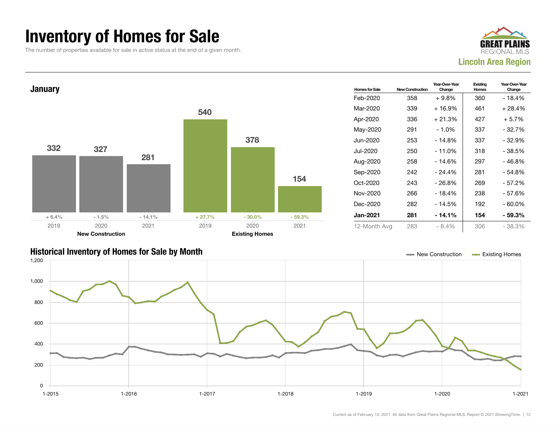### Inventory of Homes for Sale

The number of properties available for sale in active status at the end of a given month.





#### Historical Inventory of Homes for Sale by Month New Construction Existing Homes

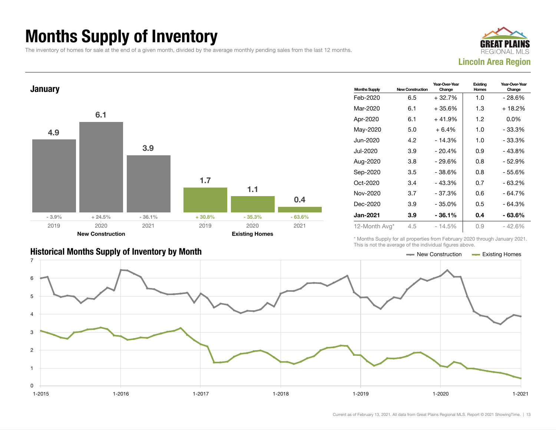## Months Supply of Inventory

The inventory of homes for sale at the end of a given month, divided by the average monthly pending sales from the last 12 months.





| <b>Historical Months Supply of Inventory by Month</b> | Existing Homes<br>New Construction |
|-------------------------------------------------------|------------------------------------|

| <b>Months Supply</b> | <b>New Construction</b> | Year-Over-Year<br>Change | Existina<br>Homes | Year-Over-Year<br>Change |  |
|----------------------|-------------------------|--------------------------|-------------------|--------------------------|--|
| Feb-2020             | 6.5                     | $+32.7%$                 | 1.0               | - 28.6%                  |  |
| Mar-2020             | 6.1                     | +35.6%                   | 1.3               | + 18.2%                  |  |
| Apr-2020             | 6.1                     | $+41.9%$                 | 1.2               | $0.0\%$                  |  |
| May-2020             | 5.0                     | $+6.4%$                  | 1.0               | - 33.3%                  |  |
| Jun-2020.            | 4.2                     | $-14.3%$                 | 1. $\Omega$       | - 33.3%                  |  |
| Jul-2020             | 3.9                     | $-20.4%$                 | 0.9               | - 43.8%                  |  |
| Aug-2020             | 3.8                     | $-29.6%$                 | 0.8               | - 52.9%                  |  |
| Sep-2020             | 3.5                     | $-38.6%$                 | 0.8               | - 55.6%                  |  |
| Oct-2020             | 3.4                     | $-43.3%$                 | 0.7               | - 63.2%                  |  |
| Nov-2020             | 3.7                     | $-37.3%$                 | 0.6               | - 64.7%                  |  |
| Dec-2020             | 3.9                     | - 35.0%                  | 0.5               | - 64.3%                  |  |
| <b>Jan-2021</b>      | 3.9                     | - 36.1%                  | 0.4               | - 63.6%                  |  |
| 12-Month Avg*        | 4.5                     | $-14.5%$                 | 0.9               | $-42.6%$                 |  |

\* Months Supply for all properties from February 2020 through January 2021. This is not the average of the individual figures above.